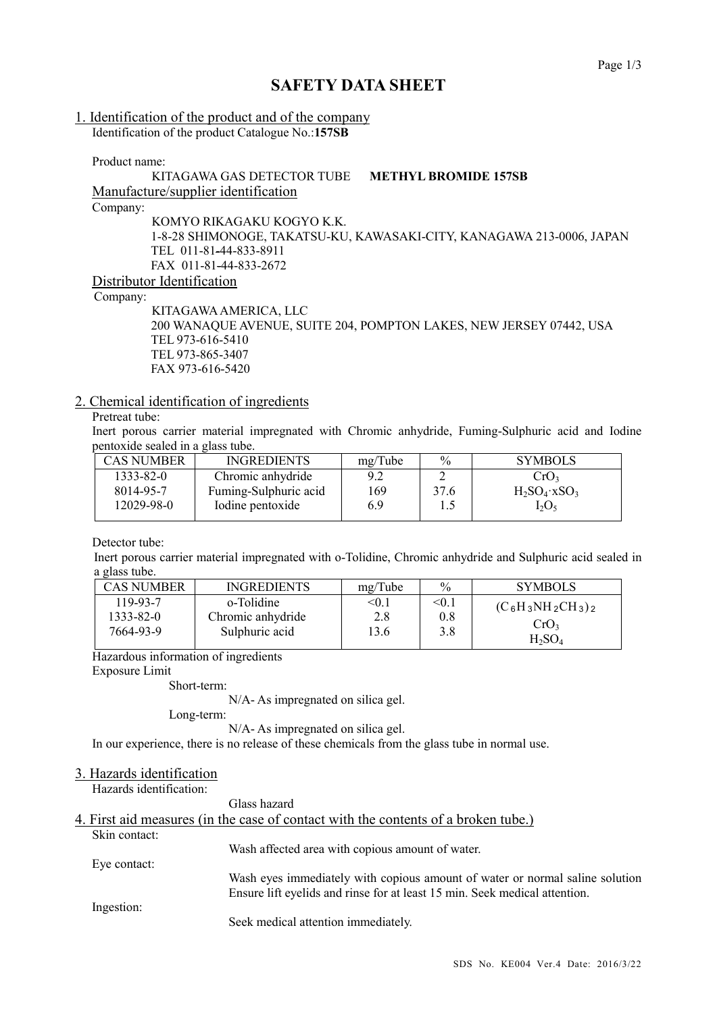# **SAFETY DATA SHEET**

# 1. Identification of the product and of the company

Identification of the product Catalogue No.:**157SB**

Product name:

### KITAGAWA GAS DETECTOR TUBE **METHYL BROMIDE 157SB** Manufacture/supplier identification Company:

KOMYO RIKAGAKU KOGYO K.K. 1-8-28 SHIMONOGE, TAKATSU-KU, KAWASAKI-CITY, KANAGAWA 213-0006, JAPAN TEL 011-81-44-833-8911 FAX 011-81-44-833-2672 Distributor Identification

Company:

KITAGAWAAMERICA, LLC 200 WANAQUE AVENUE, SUITE 204, POMPTON LAKES, NEW JERSEY 07442, USA TEL 973-616-5410 TEL 973-865-3407 FAX 973-616-5420

### 2. Chemical identification of ingredients

## Pretreat tube:

Inert porous carrier material impregnated with Chromic anhydride, Fuming-Sulphuric acid and Iodine pentoxide sealed in a glass tube.

| <b>CAS NUMBER</b> | <b>INGREDIENTS</b>    | mg/Tube | $\frac{0}{0}$ | <b>SYMBOLS</b>             |
|-------------------|-----------------------|---------|---------------|----------------------------|
| $1333 - 82 - 0$   | Chromic anhydride     | 9.2     |               | CrO <sub>3</sub>           |
| 8014-95-7         | Fuming-Sulphuric acid | 169     | 37.6          | $H_2SO_4$ xSO <sub>3</sub> |
| 12029-98-0        | Iodine pentoxide      | 6.9     |               | $I_2O_5$                   |
|                   |                       |         |               |                            |

Detector tube:

Inert porous carrier material impregnated with o-Tolidine, Chromic anhydride and Sulphuric acid sealed in a glass tube.

| CAS NUMBER | <b>INGREDIENTS</b> | mg/Tube | $\%$  | <b>SYMBOLS</b>       |
|------------|--------------------|---------|-------|----------------------|
| 119-93-7   | o-Tolidine         | < 0.1   | < 0.1 | $(C_6H_3NH_2CH_3)_2$ |
| 1333-82-0  | Chromic anhydride  | 2.8     | 0.8   | CrO3                 |
| 7664-93-9  | Sulphuric acid     | 13.6    | 3.8   | $H_2SO_4$            |

Hazardous information of ingredients

Exposure Limit

Short-term:

N/A- As impregnated on silica gel.

Long-term:

N/A- As impregnated on silica gel.

In our experience, there is no release of these chemicals from the glass tube in normal use.

#### 3. Hazards identification

Hazards identification:

Glass hazard

|               | 4. First aid measures (in the case of contact with the contents of a broken tube.) |
|---------------|------------------------------------------------------------------------------------|
| Skin contact: |                                                                                    |
|               | Wash affected area with copious amount of water.                                   |
| Eye contact:  |                                                                                    |
|               | Wash eyes immediately with copious amount of water or normal saline solution       |
|               | Ensure lift eyelids and rinse for at least 15 min. Seek medical attention.         |
| Ingestion:    |                                                                                    |
|               | Seek medical attention immediately.                                                |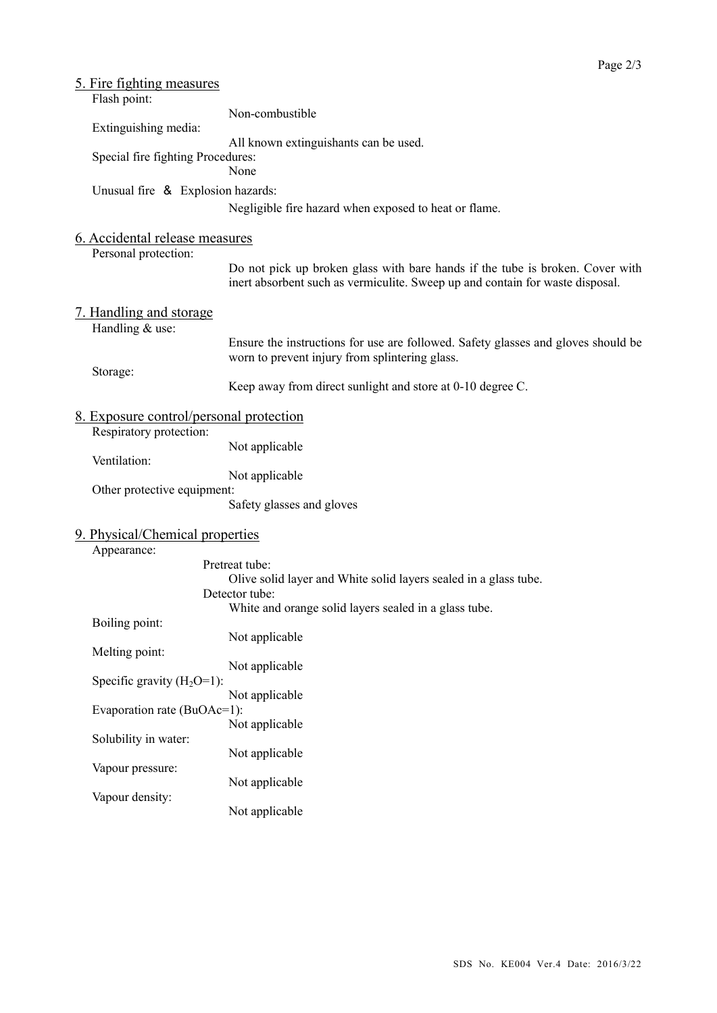| 5. Fire fighting measures                              |                                                                                                                                                                |  |  |
|--------------------------------------------------------|----------------------------------------------------------------------------------------------------------------------------------------------------------------|--|--|
| Flash point:                                           | Non-combustible                                                                                                                                                |  |  |
| Extinguishing media:                                   |                                                                                                                                                                |  |  |
| Special fire fighting Procedures:                      | All known extinguishants can be used.<br>None                                                                                                                  |  |  |
| Unusual fire & Explosion hazards:                      |                                                                                                                                                                |  |  |
|                                                        | Negligible fire hazard when exposed to heat or flame.                                                                                                          |  |  |
| 6. Accidental release measures<br>Personal protection: |                                                                                                                                                                |  |  |
|                                                        | Do not pick up broken glass with bare hands if the tube is broken. Cover with<br>inert absorbent such as vermiculite. Sweep up and contain for waste disposal. |  |  |
| <u>7. Handling and storage</u><br>Handling & use:      |                                                                                                                                                                |  |  |
|                                                        | Ensure the instructions for use are followed. Safety glasses and gloves should be<br>worn to prevent injury from splintering glass.                            |  |  |
| Storage:                                               | Keep away from direct sunlight and store at 0-10 degree C.                                                                                                     |  |  |
| <u>8. Exposure control/personal protection</u>         |                                                                                                                                                                |  |  |
| Respiratory protection:                                | Not applicable                                                                                                                                                 |  |  |
| Ventilation:                                           | Not applicable                                                                                                                                                 |  |  |
| Other protective equipment:                            |                                                                                                                                                                |  |  |
|                                                        | Safety glasses and gloves                                                                                                                                      |  |  |
| 9. Physical/Chemical properties                        |                                                                                                                                                                |  |  |
| Appearance:                                            |                                                                                                                                                                |  |  |
|                                                        | Pretreat tube:<br>Olive solid layer and White solid layers sealed in a glass tube.                                                                             |  |  |
|                                                        | Detector tube:                                                                                                                                                 |  |  |
| Boiling point:                                         | White and orange solid layers sealed in a glass tube.                                                                                                          |  |  |
|                                                        | Not applicable                                                                                                                                                 |  |  |
| Melting point:                                         | Not applicable                                                                                                                                                 |  |  |
| Specific gravity $(H_2O=1)$ :                          |                                                                                                                                                                |  |  |
| Evaporation rate (BuOAc=1):                            | Not applicable                                                                                                                                                 |  |  |
|                                                        | Not applicable                                                                                                                                                 |  |  |
| Solubility in water:                                   | Not applicable                                                                                                                                                 |  |  |
| Vapour pressure:                                       |                                                                                                                                                                |  |  |
| Vapour density:                                        | Not applicable                                                                                                                                                 |  |  |
|                                                        | Not applicable                                                                                                                                                 |  |  |